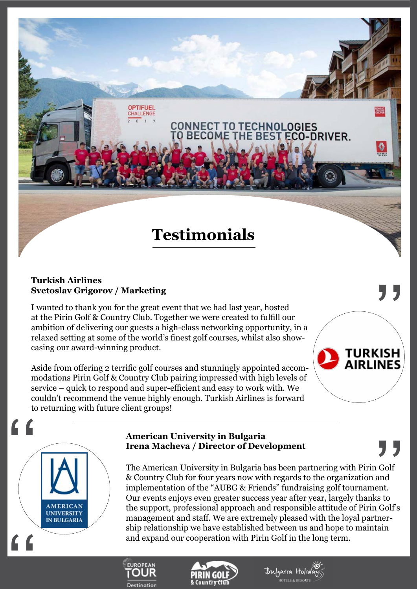# **Testimonials**

**CONNECT TO TECHNOLOGIES** 

THE BE

ECO-DRIVER.

# **Turkish Airlines Svetoslav Grigorov / Marketing**

 $\begin{array}{c}\nG \\
G \\
G\n\end{array}$ 

**AMERICAN UNIVERSITY IN BULGARIA** 

I wanted to thank you for the great event that we had last year, hosted at the Pirin Golf & Country Club. Together we were created to fulfill our ambition of delivering our guests a high-class networking opportunity, in a relaxed setting at some of the world's finest golf courses, whilst also showcasing our award-winning product.

**HALLENGE** 

Aside from offering 2 terrific golf courses and stunningly appointed accommodations Pirin Golf & Country Club pairing impressed with high levels of service – quick to respond and super-efficient and easy to work with. We couldn't recommend the venue highly enough. Turkish Airlines is forward to returning with future client groups!

#### **American University in Bulgaria Irena Macheva / Director of Development**

The American University in Bulgaria has been partnering with Pirin Golf & Country Club for four years now with regards to the organization and implementation of the "AUBG & Friends" fundraising golf tournament. Our events enjoys even greater success year after year, largely thanks to the support, professional approach and responsible attitude of Pirin Golf's management and staff. We are extremely pleased with the loyal partnership relationship we have established between us and hope to maintain and expand our cooperation with Pirin Golf in the long term.







'<br>נל

TURKISH **AIRLINES** 

 $\bullet$ 

,<br>, ,